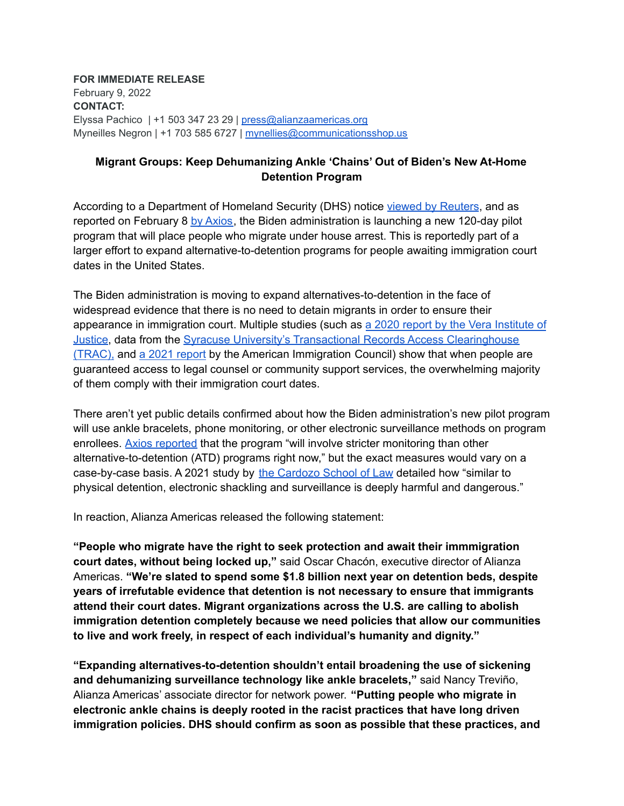**FOR IMMEDIATE RELEASE** February 9, 2022 **CONTACT:** Elyssa Pachico | +1 503 347 23 29 | [press@alianzaamericas.org](mailto:press@alianzaamericas.org) Myneilles Negron | +1 703 585 6727 | [mynellies@communicationsshop.us](mailto:mynellies@communicationsshop.us)

## **Migrant Groups: Keep Dehumanizing Ankle 'Chains' Out of Biden's New At-Home Detention Program**

According to a Department of Homeland Security (DHS) notice viewed by [Reuters](https://www.reuters.com/world/us/us-try-house-arrest-immigrants-alternative-detention-2022-02-08/), and as reported on February 8 by [Axios](http://axios.com/scoop-biden-reinvents-migrant-detention-6a41d0a7-8ac2-4038-86d8-cf1e46228710.html), the Biden administration is launching a new 120-day pilot program that will place people who migrate under house arrest. This is reportedly part of a larger effort to expand alternative-to-detention programs for people awaiting immigration court dates in the United States.

The Biden administration is moving to expand alternatives-to-detention in the face of widespread evidence that there is no need to detain migrants in order to ensure their appearance in immigration court. Multiple studies (such as a 2020 report by the Vera [Institute](https://perma.cc/7G62-AVTS) of [Justice](https://perma.cc/7G62-AVTS), data from the Syracuse University's Transactional Records Access [Clearinghouse](https://www.humanrightsfirst.org/resource/fact-check-asylum-seekers-regularly-attend-immigration-court-hearings) [\(TRAC\),](https://www.humanrightsfirst.org/resource/fact-check-asylum-seekers-regularly-attend-immigration-court-hearings) and a 2021 [report](https://www.americanimmigrationcouncil.org/sites/default/files/research/measuring_in_absentia_in_immigration_court.pdf) by the American Immigration Council) show that when people are guaranteed access to legal counsel or community support services, the overwhelming majority of them comply with their immigration court dates.

There aren't yet public details confirmed about how the Biden administration's new pilot program will use ankle bracelets, phone monitoring, or other electronic surveillance methods on program enrollees. Axios [reported](https://www.axios.com/scoop-biden-reinvents-migrant-detention-6a41d0a7-8ac2-4038-86d8-cf1e46228710.html) that the program "will involve stricter monitoring than other alternative-to-detention (ATD) programs right now," but the exact measures would vary on a case-by-case basis. A 2021 study by the [Cardozo](https://static1.squarespace.com/static/5a33042eb078691c386e7bce/t/60ec661ec578326ec3032d52/1626105377079/Immigration+Cyber+Prisons+report.pdf) School of Law detailed how "similar to physical detention, electronic shackling and surveillance is deeply harmful and dangerous."

In reaction, Alianza Americas released the following statement:

**"People who migrate have the right to seek protection and await their immmigration court dates, without being locked up,"** said Oscar Chacón, executive director of Alianza Americas. **"We're slated to spend some \$1.8 billion next year on detention beds, despite years of irrefutable evidence that detention is not necessary to ensure that immigrants attend their court dates. Migrant organizations across the U.S. are calling to abolish immigration detention completely because we need policies that allow our communities to live and work freely, in respect of each individual's humanity and dignity."**

**"Expanding alternatives-to-detention shouldn't entail broadening the use of sickening and dehumanizing surveillance technology like ankle bracelets,"** said Nancy Treviño, Alianza Americas' associate director for network power. **"Putting people who migrate in electronic ankle chains is deeply rooted in the racist practices that have long driven immigration policies. DHS should confirm as soon as possible that these practices, and**